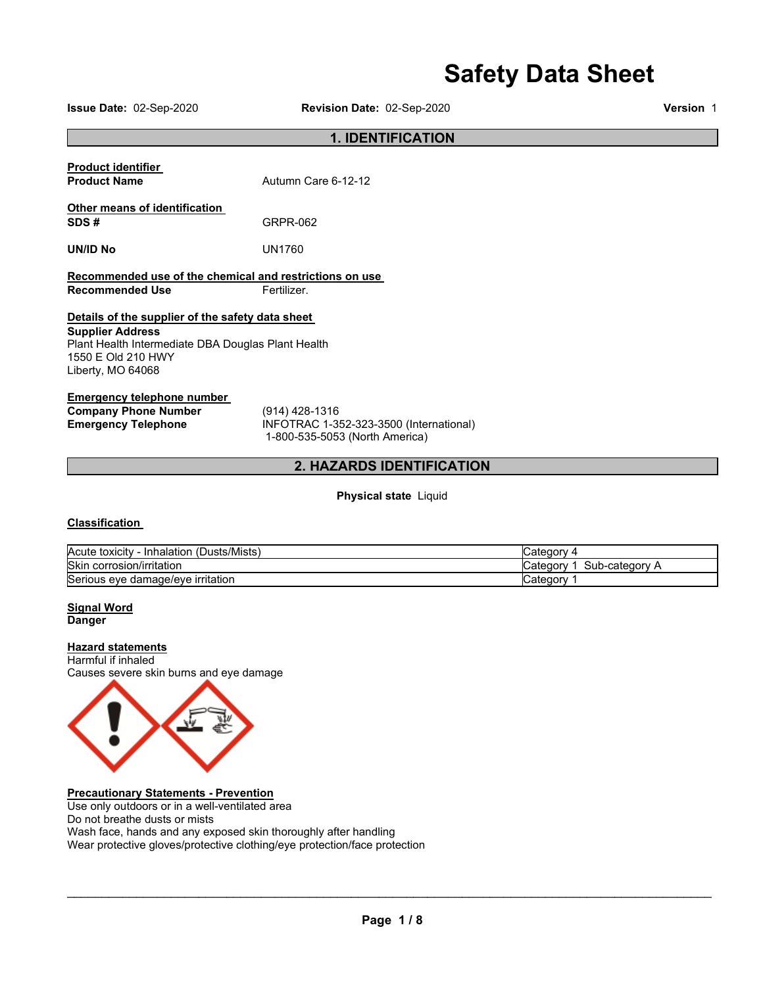# **Safety Data Sheet**

**Issue Date:** 02-Sep-2020 **Revision Date:** 02-Sep-2020 **Version** 1

# **1. IDENTIFICATION**

| <b>Product identifier</b><br><b>Product Name</b>                                                                                                                                                                      | Autumn Care 6-12-12 |  |
|-----------------------------------------------------------------------------------------------------------------------------------------------------------------------------------------------------------------------|---------------------|--|
| Other means of identification<br>SDS#                                                                                                                                                                                 | GRPR-062            |  |
| UN/ID No                                                                                                                                                                                                              | UN1760              |  |
| Recommended use of the chemical and restrictions on use                                                                                                                                                               |                     |  |
| <b>Recommended Use</b><br>Fertilizer.<br>Details of the supplier of the safety data sheet<br><b>Supplier Address</b><br>Plant Health Intermediate DBA Douglas Plant Health<br>1550 E Old 210 HWY<br>Liberty, MO 64068 |                     |  |
|                                                                                                                                                                                                                       |                     |  |

# **Emergency telephone number Company Phone Number** (914) 428-1316<br> **Emergency Telephone** INFOTRAC 1-3

**Emergency Telephone** INFOTRAC 1-352-323-3500 (International) 1-800-535-5053 (North America)

# **2. HAZARDS IDENTIFICATION**

## **Physical state** Liquid

# **Classification**

| Acute toxicity<br>(Dusts/Mists)<br>- Inhalation | atedor∨ب                      |
|-------------------------------------------------|-------------------------------|
| Skin corrosion/irritation                       | Sub<br>b-category<br>شcatedor |
| Serious eye damage/eye irritation               | Category                      |

#### **Signal Word Danger**

# **Hazard statements**

Harmful if inhaled Causes severe skin burns and eye damage



# **Precautionary Statements - Prevention**

Use only outdoors or in a well-ventilated area Do not breathe dusts or mists Wash face, hands and any exposed skin thoroughly after handling Wear protective gloves/protective clothing/eye protection/face protection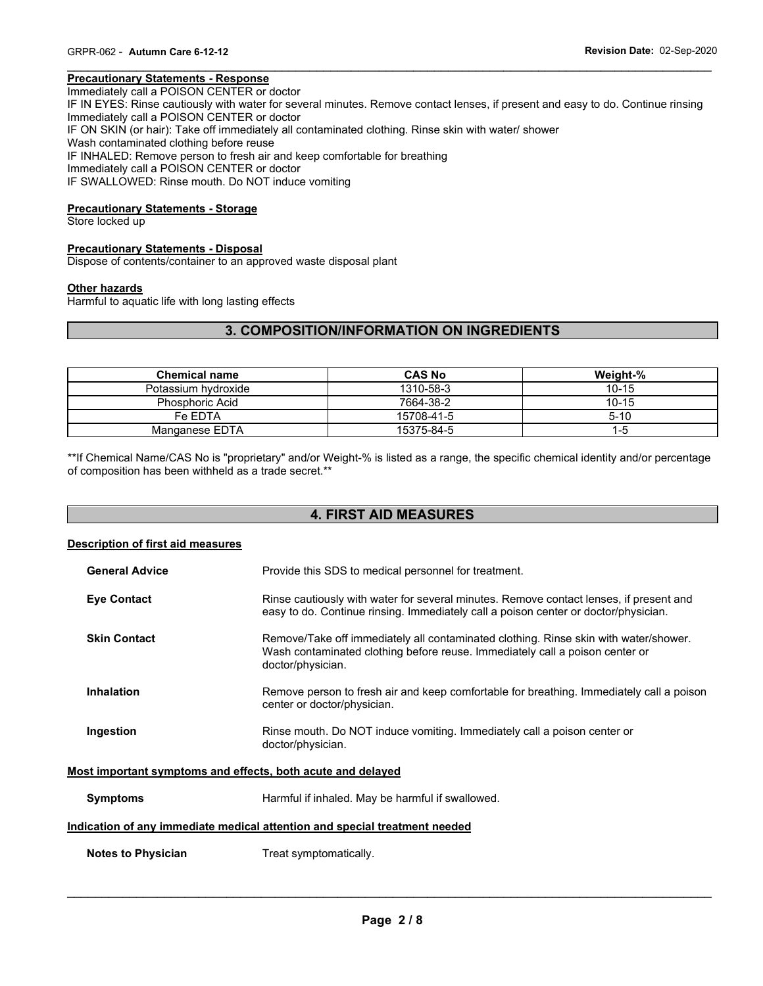# **Precautionary Statements - Response**

Immediately call a POISON CENTER or doctor IF IN EYES: Rinse cautiously with water for several minutes. Remove contact lenses, if present and easy to do. Continue rinsing Immediately call a POISON CENTER or doctor IF ON SKIN (or hair): Take off immediately all contaminated clothing. Rinse skin with water/ shower Wash contaminated clothing before reuse IF INHALED: Remove person to fresh air and keep comfortable for breathing Immediately call a POISON CENTER or doctor IF SWALLOWED: Rinse mouth. Do NOT induce vomiting

\_\_\_\_\_\_\_\_\_\_\_\_\_\_\_\_\_\_\_\_\_\_\_\_\_\_\_\_\_\_\_\_\_\_\_\_\_\_\_\_\_\_\_\_\_\_\_\_\_\_\_\_\_\_\_\_\_\_\_\_\_\_\_\_\_\_\_\_\_\_\_\_\_\_\_\_\_\_\_\_\_\_\_\_\_\_\_\_\_\_\_\_\_

#### **Precautionary Statements - Storage**

Store locked up

# **Precautionary Statements - Disposal**

Dispose of contents/container to an approved waste disposal plant

#### **Other hazards**

Harmful to aquatic life with long lasting effects

# **3. COMPOSITION/INFORMATION ON INGREDIENTS**

| <b>Chemical name</b>   | <b>CAS No</b> | Weight-%  |
|------------------------|---------------|-----------|
| Potassium hydroxide    | 1310-58-3     | $10 - 15$ |
| <b>Phosphoric Acid</b> | 7664-38-2     | $10 - 15$ |
| Fe FDTA                | 15708-41-5    | $5 - 10$  |
| Manganese EDTA         | 15375-84-5    | 1-5       |

\*\*If Chemical Name/CAS No is "proprietary" and/or Weight-% is listed as a range, the specific chemical identity and/or percentage of composition has been withheld as a trade secret.\*\*

# **4. FIRST AID MEASURES**

#### **Description of first aid measures**

| <b>General Advice</b> | Provide this SDS to medical personnel for treatment.                                                                                                                                      |
|-----------------------|-------------------------------------------------------------------------------------------------------------------------------------------------------------------------------------------|
| <b>Eye Contact</b>    | Rinse cautiously with water for several minutes. Remove contact lenses, if present and<br>easy to do. Continue rinsing. Immediately call a poison center or doctor/physician.             |
| <b>Skin Contact</b>   | Remove/Take off immediately all contaminated clothing. Rinse skin with water/shower.<br>Wash contaminated clothing before reuse. Immediately call a poison center or<br>doctor/physician. |
| <b>Inhalation</b>     | Remove person to fresh air and keep comfortable for breathing. Immediately call a poison<br>center or doctor/physician.                                                                   |
| Ingestion             | Rinse mouth. Do NOT induce vomiting. Immediately call a poison center or<br>doctor/physician.                                                                                             |

#### **Most important symptoms and effects, both acute and delayed**

**Symptoms Example 3** Harmful if inhaled. May be harmful if swallowed.

## **Indication of any immediate medical attention and special treatment needed**

**Notes to Physician**  Treat symptomatically.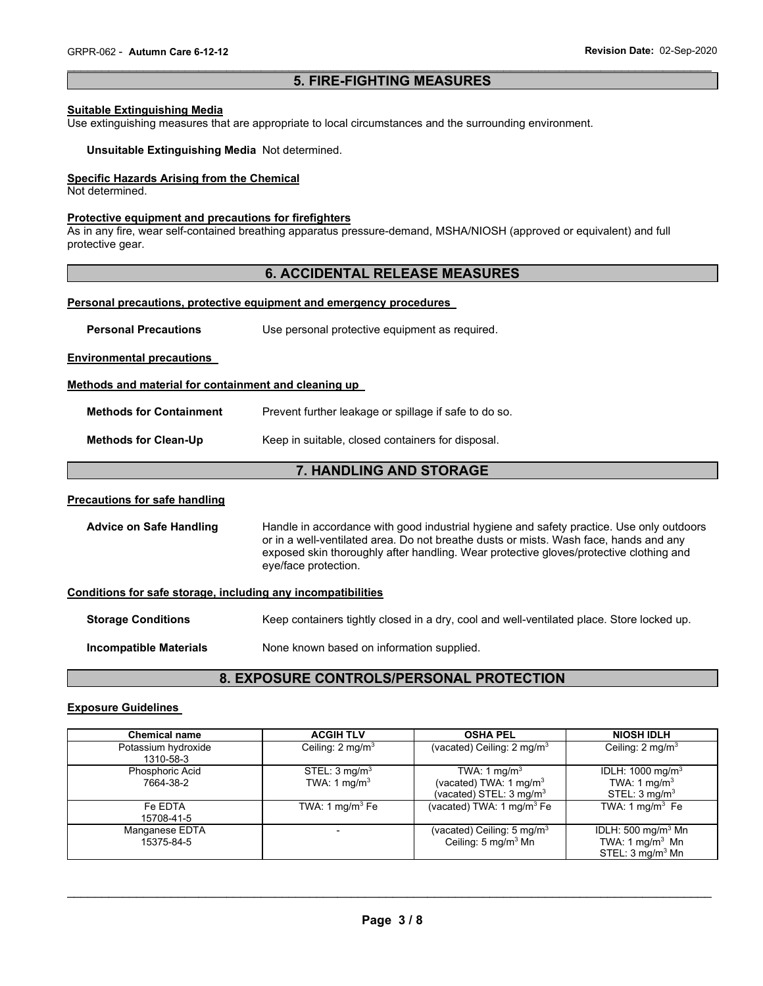# \_\_\_\_\_\_\_\_\_\_\_\_\_\_\_\_\_\_\_\_\_\_\_\_\_\_\_\_\_\_\_\_\_\_\_\_\_\_\_\_\_\_\_\_\_\_\_\_\_\_\_\_\_\_\_\_\_\_\_\_\_\_\_\_\_\_\_\_\_\_\_\_\_\_\_\_\_\_\_\_\_\_\_\_\_\_\_\_\_\_\_\_\_ **5. FIRE-FIGHTING MEASURES**

## **Suitable Extinguishing Media**

Use extinguishing measures that are appropriate to local circumstances and the surrounding environment.

**Unsuitable Extinguishing Media** Not determined.

#### **Specific Hazards Arising from the Chemical**

Not determined.

#### **Protective equipment and precautions for firefighters**

As in any fire, wear self-contained breathing apparatus pressure-demand, MSHA/NIOSH (approved or equivalent) and full protective gear.

# **6. ACCIDENTAL RELEASE MEASURES**

#### **Personal precautions, protective equipment and emergency procedures**

| <b>Personal Precautions</b> | Use personal protective equipment as required. |
|-----------------------------|------------------------------------------------|
|-----------------------------|------------------------------------------------|

#### **Environmental precautions**

#### **Methods and material for containment and cleaning up**

| <b>Methods for Containment</b> | Prevent further leakage or spillage if safe to do so. |
|--------------------------------|-------------------------------------------------------|
| <b>Methods for Clean-Up</b>    | Keep in suitable, closed containers for disposal.     |

# **7. HANDLING AND STORAGE**

## **Precautions for safe handling**

**Advice on Safe Handling** Handle in accordance with good industrial hygiene and safety practice. Use only outdoors or in a well-ventilated area. Do not breathe dusts or mists. Wash face, hands and any exposed skin thoroughly after handling. Wear protective gloves/protective clothing and eye/face protection.

#### **Conditions for safe storage, including any incompatibilities**

**Storage Conditions Keep containers tightly closed in a dry, cool and well-ventilated place. Store locked up.** 

**Incompatible Materials None known based on information supplied.** 

# **8. EXPOSURE CONTROLS/PERSONAL PROTECTION**

#### **Exposure Guidelines**

| <b>Chemical name</b>             | <b>ACGIH TLV</b>                           | <b>OSHA PEL</b>                                                                                      | <b>NIOSH IDLH</b>                                                                    |
|----------------------------------|--------------------------------------------|------------------------------------------------------------------------------------------------------|--------------------------------------------------------------------------------------|
| Potassium hydroxide<br>1310-58-3 | Ceiling: $2 \text{ mg/m}^3$                | (vacated) Ceiling: 2 mg/m <sup>3</sup>                                                               | Ceiling: $2 \text{ mg/m}^3$                                                          |
| Phosphoric Acid<br>7664-38-2     | STEL: $3 \text{ mg/m}^3$<br>TWA: 1 $mg/m3$ | TWA: 1 mg/m <sup>3</sup><br>(vacated) TWA: 1 mg/m <sup>3</sup><br>(vacated) STEL: $3 \text{ mg/m}^3$ | IDLH: 1000 mg/m <sup>3</sup><br>TWA: 1 mg/m <sup>3</sup><br>STEL: $3 \text{ mq/m}^3$ |
| Fe EDTA<br>15708-41-5            | TWA: 1 $mq/m3$ Fe                          | (vacated) TWA: 1 mg/m $^3$ Fe                                                                        | TWA: $1 \text{ mg/m}^3$ Fe                                                           |
| Manganese EDTA<br>15375-84-5     |                                            | (vacated) Ceiling: 5 mg/m <sup>3</sup><br>Ceiling: 5 mg/m <sup>3</sup> Mn                            | IDLH: 500 mg/m $3$ Mn<br>TWA: 1 mg/m $3$ Mn<br>STEL: $3 \text{ mq/m}^3$ Mn           |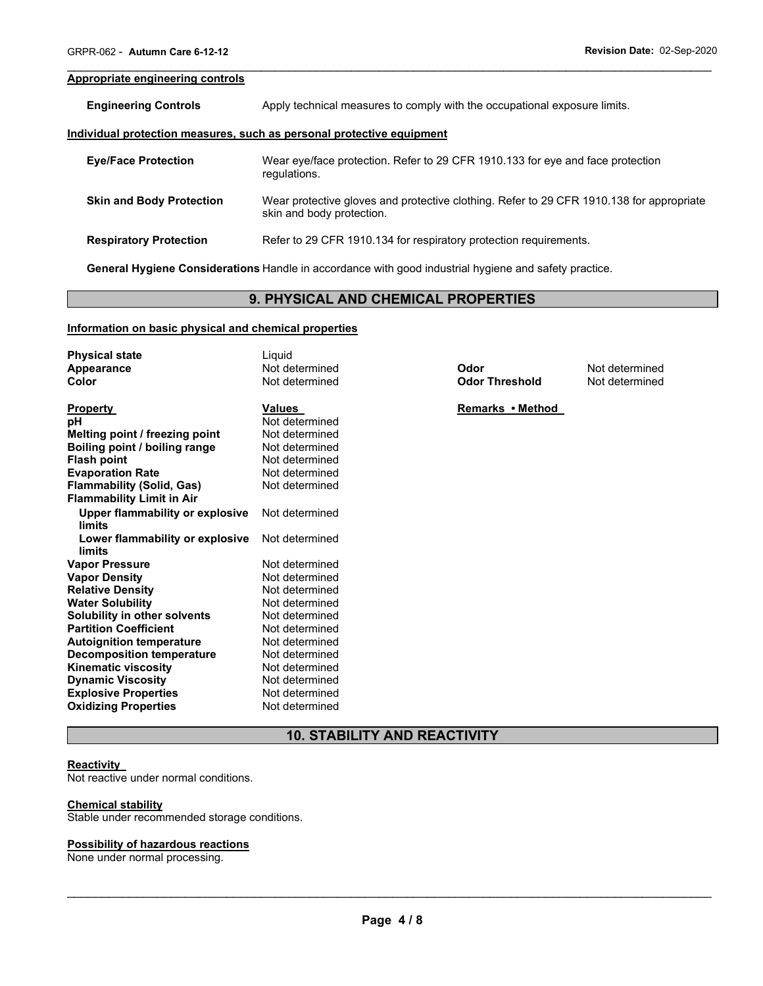#### **Appropriate engineering controls**

**Engineering Controls Apply technical measures to comply with the occupational exposure limits.** 

#### **Individual protection measures, such as personal protective equipment**

| <b>Eye/Face Protection</b>      | Wear eye/face protection. Refer to 29 CFR 1910.133 for eye and face protection<br>regulations.                        |
|---------------------------------|-----------------------------------------------------------------------------------------------------------------------|
| <b>Skin and Body Protection</b> | Wear protective gloves and protective clothing. Refer to 29 CFR 1910.138 for appropriate<br>skin and body protection. |
| <b>Respiratory Protection</b>   | Refer to 29 CFR 1910.134 for respiratory protection requirements.                                                     |

\_\_\_\_\_\_\_\_\_\_\_\_\_\_\_\_\_\_\_\_\_\_\_\_\_\_\_\_\_\_\_\_\_\_\_\_\_\_\_\_\_\_\_\_\_\_\_\_\_\_\_\_\_\_\_\_\_\_\_\_\_\_\_\_\_\_\_\_\_\_\_\_\_\_\_\_\_\_\_\_\_\_\_\_\_\_\_\_\_\_\_\_\_

**General Hygiene Considerations** Handle in accordance with good industrial hygiene and safety practice.

# **9. PHYSICAL AND CHEMICAL PROPERTIES**

# **Information on basic physical and chemical properties**

| <b>Physical state</b>                  | Liquid         |                       |                |
|----------------------------------------|----------------|-----------------------|----------------|
| Appearance                             | Not determined | Odor                  | Not determined |
| Color                                  | Not determined | <b>Odor Threshold</b> | Not determined |
|                                        |                |                       |                |
| <b>Property</b>                        | <b>Values</b>  | Remarks • Method      |                |
| рH                                     | Not determined |                       |                |
| Melting point / freezing point         | Not determined |                       |                |
| Boiling point / boiling range          | Not determined |                       |                |
| <b>Flash point</b>                     | Not determined |                       |                |
| <b>Evaporation Rate</b>                | Not determined |                       |                |
| <b>Flammability (Solid, Gas)</b>       | Not determined |                       |                |
| <b>Flammability Limit in Air</b>       |                |                       |                |
| <b>Upper flammability or explosive</b> | Not determined |                       |                |
| limits                                 |                |                       |                |
| Lower flammability or explosive        | Not determined |                       |                |
| limits                                 |                |                       |                |
| <b>Vapor Pressure</b>                  | Not determined |                       |                |
| <b>Vapor Density</b>                   | Not determined |                       |                |
| <b>Relative Density</b>                | Not determined |                       |                |
| <b>Water Solubility</b>                | Not determined |                       |                |
| Solubility in other solvents           | Not determined |                       |                |
| <b>Partition Coefficient</b>           | Not determined |                       |                |
| <b>Autoignition temperature</b>        | Not determined |                       |                |
| <b>Decomposition temperature</b>       | Not determined |                       |                |
| <b>Kinematic viscosity</b>             | Not determined |                       |                |
| <b>Dynamic Viscosity</b>               | Not determined |                       |                |
| <b>Explosive Properties</b>            | Not determined |                       |                |
| <b>Oxidizing Properties</b>            | Not determined |                       |                |

# **10. STABILITY AND REACTIVITY**

#### **Reactivity**

Not reactive under normal conditions.

# **Chemical stability**

Stable under recommended storage conditions.

#### **Possibility of hazardous reactions**

None under normal processing.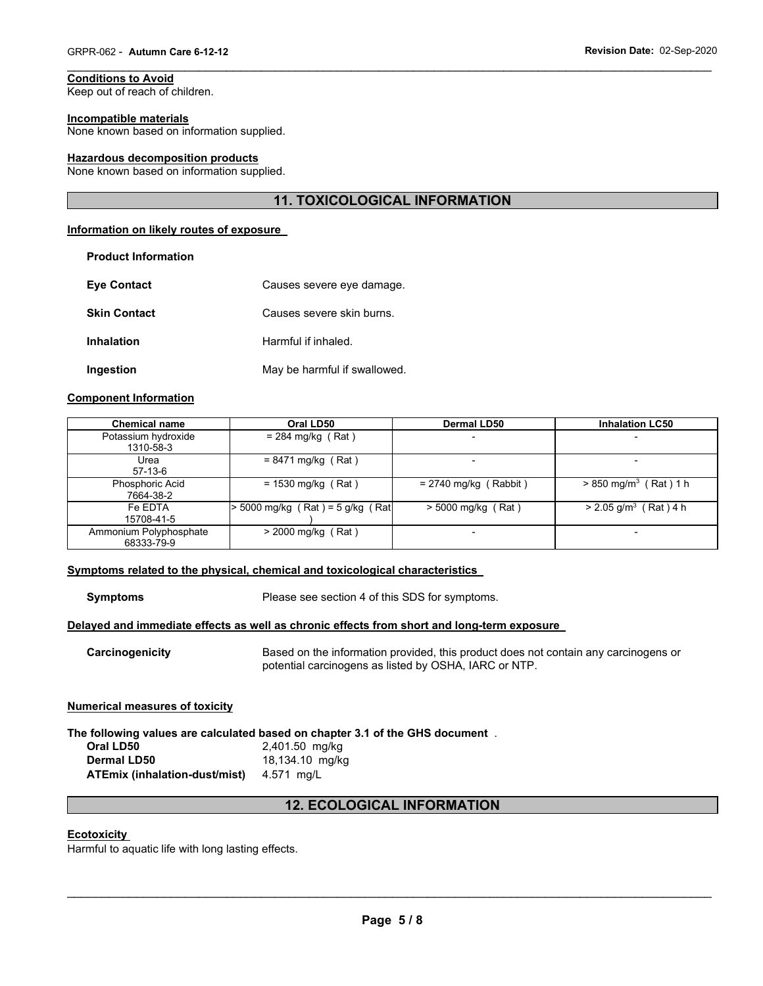# **Conditions to Avoid**

Keep out of reach of children.

**Product Information** 

#### **Incompatible materials**

None known based on information supplied.

#### **Hazardous decomposition products**

None known based on information supplied.

# **11. TOXICOLOGICAL INFORMATION**

\_\_\_\_\_\_\_\_\_\_\_\_\_\_\_\_\_\_\_\_\_\_\_\_\_\_\_\_\_\_\_\_\_\_\_\_\_\_\_\_\_\_\_\_\_\_\_\_\_\_\_\_\_\_\_\_\_\_\_\_\_\_\_\_\_\_\_\_\_\_\_\_\_\_\_\_\_\_\_\_\_\_\_\_\_\_\_\_\_\_\_\_\_

#### **Information on likely routes of exposure**

| FIUUUUL IIIIUIIIIAUUII |                              |
|------------------------|------------------------------|
| <b>Eve Contact</b>     | Causes severe eye damage.    |
| <b>Skin Contact</b>    | Causes severe skin burns.    |
| <b>Inhalation</b>      | Harmful if inhaled.          |
| Ingestion              | May be harmful if swallowed. |

#### **Component Information**

| <b>Chemical name</b>                 | Oral LD50                        | <b>Dermal LD50</b>      | <b>Inhalation LC50</b>              |
|--------------------------------------|----------------------------------|-------------------------|-------------------------------------|
| Potassium hydroxide<br>1310-58-3     | $= 284$ mg/kg (Rat)              |                         | -                                   |
| Urea<br>$57-13-6$                    | $= 8471$ mg/kg (Rat)             |                         | -                                   |
| Phosphoric Acid<br>7664-38-2         | $= 1530$ mg/kg (Rat)             | $= 2740$ mg/kg (Rabbit) | $> 850$ mg/m <sup>3</sup> (Rat) 1 h |
| Fe EDTA<br>15708-41-5                | > 5000 mg/kg (Rat) = 5 g/kg (Rat | $>$ 5000 mg/kg (Rat)    | $> 2.05$ g/m <sup>3</sup> (Rat) 4 h |
| Ammonium Polyphosphate<br>68333-79-9 | $>$ 2000 mg/kg (Rat)             |                         |                                     |

#### **Symptoms related to the physical, chemical and toxicological characteristics**

**Symptoms** Please see section 4 of this SDS for symptoms.

#### **Delayed and immediate effects as well as chronic effects from short and long-term exposure**

**Carcinogenicity** Based on the information provided, this product does not contain any carcinogens or potential carcinogens as listed by OSHA, IARC or NTP.

#### **Numerical measures of toxicity**

**The following values are calculated based on chapter 3.1 of the GHS document** . **Oral LD50** 2,401.50 mg/kg **Dermal LD50** 18,134.10 mg/kg **ATEmix (inhalation-dust/mist)** 4.571 mg/L

# **12. ECOLOGICAL INFORMATION**

# **Ecotoxicity**

Harmful to aquatic life with long lasting effects.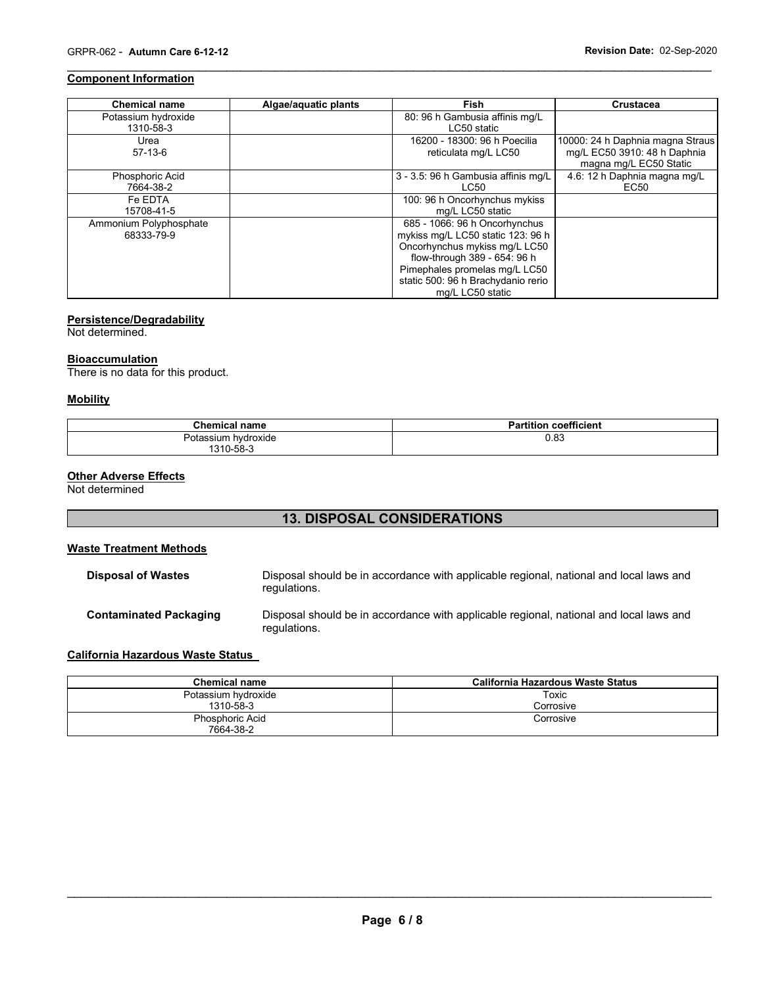# **Component Information**

| <b>Chemical name</b>   | Algae/aquatic plants | <b>Fish</b>                         | <b>Crustacea</b>                                       |
|------------------------|----------------------|-------------------------------------|--------------------------------------------------------|
| Potassium hydroxide    |                      | 80: 96 h Gambusia affinis mg/L      |                                                        |
| 1310-58-3              |                      | LC50 static                         |                                                        |
| Urea                   |                      | 16200 - 18300: 96 h Poecilia        | 10000: 24 h Daphnia magna Straus                       |
| $57-13-6$              |                      | reticulata mg/L LC50                | mg/L EC50 3910: 48 h Daphnia<br>magna mg/L EC50 Static |
| Phosphoric Acid        |                      | 3 - 3.5: 96 h Gambusia affinis mg/L | 4.6: 12 h Daphnia magna mg/L                           |
| 7664-38-2              |                      | LC50                                | EC50                                                   |
| Fe EDTA                |                      | 100: 96 h Oncorhynchus mykiss       |                                                        |
| 15708-41-5             |                      | mg/L LC50 static                    |                                                        |
| Ammonium Polyphosphate |                      | 685 - 1066: 96 h Oncorhynchus       |                                                        |
| 68333-79-9             |                      | mykiss mg/L LC50 static 123: 96 h   |                                                        |
|                        |                      | Oncorhynchus mykiss mg/L LC50       |                                                        |
|                        |                      | flow-through 389 - 654: 96 h        |                                                        |
|                        |                      | Pimephales promelas mg/L LC50       |                                                        |
|                        |                      | static 500: 96 h Brachydanio rerio  |                                                        |
|                        |                      | mg/L LC50 static                    |                                                        |

\_\_\_\_\_\_\_\_\_\_\_\_\_\_\_\_\_\_\_\_\_\_\_\_\_\_\_\_\_\_\_\_\_\_\_\_\_\_\_\_\_\_\_\_\_\_\_\_\_\_\_\_\_\_\_\_\_\_\_\_\_\_\_\_\_\_\_\_\_\_\_\_\_\_\_\_\_\_\_\_\_\_\_\_\_\_\_\_\_\_\_\_\_

# **Persistence/Degradability**

Not determined.

#### **Bioaccumulation**

There is no data for this product.

#### **Mobility**

| <b>Chemical name</b> | coefficient<br>artition |
|----------------------|-------------------------|
| Potassium hydroxide  | 0.83                    |
| 1310-58-3            |                         |

## **Other Adverse Effects**

Not determined

# **13. DISPOSAL CONSIDERATIONS**

# **Waste Treatment Methods**

| <b>Disposal of Wastes</b>     | Disposal should be in accordance with applicable regional, national and local laws and<br>regulations. |
|-------------------------------|--------------------------------------------------------------------------------------------------------|
| <b>Contaminated Packaging</b> | Disposal should be in accordance with applicable regional, national and local laws and<br>regulations. |

# **California Hazardous Waste Status**

| <b>Chemical name</b> | California Hazardous Waste Status |  |  |
|----------------------|-----------------------------------|--|--|
| Potassium hydroxide  | Toxic                             |  |  |
| 1310-58-3            | Corrosive                         |  |  |
| Phosphoric Acid      | Corrosive                         |  |  |
| 7664-38-2            |                                   |  |  |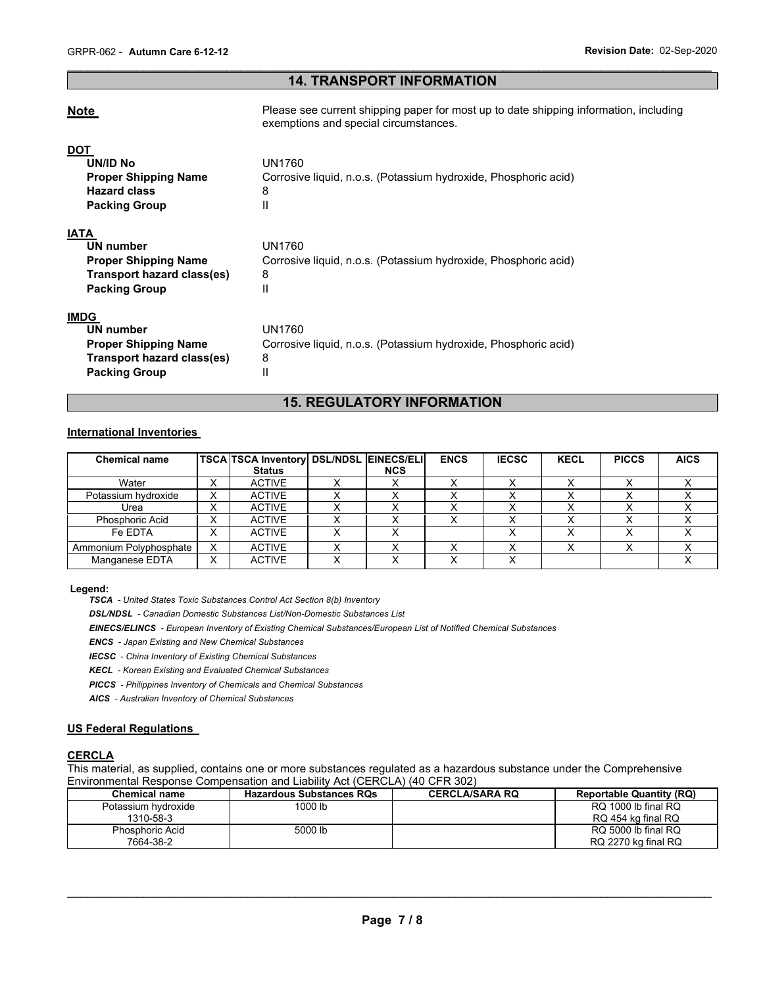# \_\_\_\_\_\_\_\_\_\_\_\_\_\_\_\_\_\_\_\_\_\_\_\_\_\_\_\_\_\_\_\_\_\_\_\_\_\_\_\_\_\_\_\_\_\_\_\_\_\_\_\_\_\_\_\_\_\_\_\_\_\_\_\_\_\_\_\_\_\_\_\_\_\_\_\_\_\_\_\_\_\_\_\_\_\_\_\_\_\_\_\_\_ **14. TRANSPORT INFORMATION**

| <b>Note</b>                                                                                                   | Please see current shipping paper for most up to date shipping information, including<br>exemptions and special circumstances. |
|---------------------------------------------------------------------------------------------------------------|--------------------------------------------------------------------------------------------------------------------------------|
| <b>DOT</b><br><b>UN/ID No</b><br><b>Proper Shipping Name</b><br><b>Hazard class</b><br><b>Packing Group</b>   | UN1760<br>Corrosive liquid, n.o.s. (Potassium hydroxide, Phosphoric acid)<br>8<br>Ш                                            |
| <b>IATA</b><br>UN number<br><b>Proper Shipping Name</b><br>Transport hazard class(es)<br><b>Packing Group</b> | UN1760<br>Corrosive liquid, n.o.s. (Potassium hydroxide, Phosphoric acid)<br>8<br>Ш                                            |
| <b>IMDG</b><br>UN number<br><b>Proper Shipping Name</b><br>Transport hazard class(es)<br><b>Packing Group</b> | UN1760<br>Corrosive liquid, n.o.s. (Potassium hydroxide, Phosphoric acid)<br>8<br>Ш                                            |

# **15. REGULATORY INFORMATION**

# **International Inventories**

| <b>Chemical name</b>   |                | <b>TSCA TSCA Inventory DSL/NDSL EINECS/ELI</b> |            | <b>ENCS</b> | <b>IECSC</b> | <b>KECL</b> | <b>PICCS</b> | <b>AICS</b> |
|------------------------|----------------|------------------------------------------------|------------|-------------|--------------|-------------|--------------|-------------|
|                        |                | <b>Status</b>                                  | <b>NCS</b> |             |              |             |              |             |
| Water                  | ິ<br>$\lambda$ | <b>ACTIVE</b>                                  |            |             |              |             |              |             |
| Potassium hydroxide    | X              | <b>ACTIVE</b>                                  |            |             |              |             |              |             |
| Urea                   | $\lambda$      | <b>ACTIVE</b>                                  |            |             |              |             |              |             |
| <b>Phosphoric Acid</b> |                | <b>ACTIVE</b>                                  |            |             |              |             |              |             |
| Fe FDTA                | $\checkmark$   | <b>ACTIVE</b>                                  |            |             |              |             |              |             |
| Ammonium Polyphosphate | $\checkmark$   | <b>ACTIVE</b>                                  |            |             |              |             |              |             |
| Manganese EDTA         | Х              | <b>ACTIVE</b>                                  |            |             |              |             |              |             |

#### **Legend:**

*TSCA - United States Toxic Substances Control Act Section 8(b) Inventory* 

*DSL/NDSL - Canadian Domestic Substances List/Non-Domestic Substances List* 

*EINECS/ELINCS - European Inventory of Existing Chemical Substances/European List of Notified Chemical Substances* 

*ENCS - Japan Existing and New Chemical Substances* 

*IECSC - China Inventory of Existing Chemical Substances* 

*KECL - Korean Existing and Evaluated Chemical Substances* 

*PICCS - Philippines Inventory of Chemicals and Chemical Substances* 

*AICS - Australian Inventory of Chemical Substances* 

# **US Federal Regulations**

#### **CERCLA**

This material, as supplied, contains one or more substances regulated as a hazardous substance under the Comprehensive Environmental Response Compensation and Liability Act (CERCLA) (40 CFR 302)

| <b>Chemical name</b>                | <b>Hazardous Substances RQs</b> | <b>CERCLA/SARA RQ</b> | <b>Reportable Quantity (RQ)</b>            |
|-------------------------------------|---------------------------------|-----------------------|--------------------------------------------|
| Potassium hydroxide<br>1310-58-3    | 1000 lb                         |                       | RQ 1000 lb final RQ<br>RQ 454 kg final RQ  |
| <b>Phosphoric Acid</b><br>7664-38-2 | 5000 lb                         |                       | RQ 5000 lb final RQ<br>RQ 2270 kg final RQ |